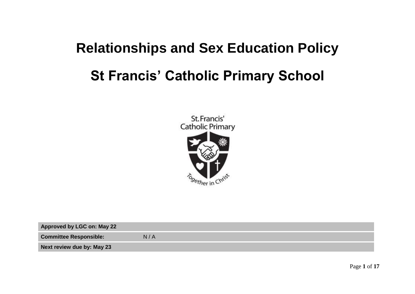# **Relationships and Sex Education Policy St Francis' Catholic Primary School**



| Approved by LGC on: May 22    |     |
|-------------------------------|-----|
| <b>Committee Responsible:</b> | N/A |
| Next review due by: May 23    |     |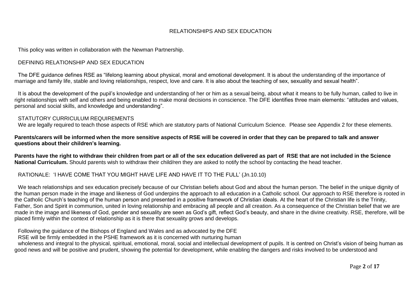#### RELATIONSHIPS AND SEX EDUCATION

This policy was written in collaboration with the Newman Partnership.

#### DEFINING RELATIONSHIP AND SEX EDUCATION

The DFE guidance defines RSE as "lifelong learning about physical, moral and emotional development. It is about the understanding of the importance of marriage and family life, stable and loving relationships, respect, love and care. It is also about the teaching of sex, sexuality and sexual health".

It is about the development of the pupil's knowledge and understanding of her or him as a sexual being, about what it means to be fully human, called to live in right relationships with self and others and being enabled to make moral decisions in conscience. The DFE identifies three main elements: "attitudes and values, personal and social skills, and knowledge and understanding".

#### STATUTORY CURRICULUM REQUIREMENTS

We are legally required to teach those aspects of RSE which are statutory parts of National Curriculum Science. Please see Appendix 2 for these elements.

**Parents/carers will be informed when the more sensitive aspects of RSE will be covered in order that they can be prepared to talk and answer questions about their children's learning.**

**Parents have the right to withdraw their children from part or all of the sex education delivered as part of RSE that are not included in the Science National Curriculum.** Should parents wish to withdraw their child/ren they are asked to notify the school by contacting the head teacher.

#### RATIONALE: 'I HAVE COME THAT YOU MIGHT HAVE LIFE AND HAVE IT TO THE FULL' (Jn.10.10)

We teach relationships and sex education precisely because of our Christian beliefs about God and about the human person. The belief in the unique dignity of the human person made in the image and likeness of God underpins the approach to all education in a Catholic school. Our approach to RSE therefore is rooted in the Catholic Church's teaching of the human person and presented in a positive framework of Christian ideals. At the heart of the Christian life is the Trinity, Father, Son and Spirit in communion, united in loving relationship and embracing all people and all creation. As a consequence of the Christian belief that we are made in the image and likeness of God, gender and sexuality are seen as God's gift, reflect God's beauty, and share in the divine creativity. RSE, therefore, will be placed firmly within the context of relationship as it is there that sexuality grows and develops.

Following the guidance of the Bishops of England and Wales and as advocated by the DFE

RSE will be firmly embedded in the PSHE framework as it is concerned with nurturing human

wholeness and integral to the physical, spiritual, emotional, moral, social and intellectual development of pupils. It is centred on Christ's vision of being human as good news and will be positive and prudent, showing the potential for development, while enabling the dangers and risks involved to be understood and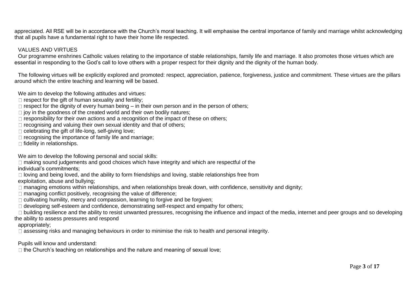appreciated. All RSE will be in accordance with the Church's moral teaching. It will emphasise the central importance of family and marriage whilst acknowledging that all pupils have a fundamental right to have their home life respected.

#### VALUES AND VIRTUES

Our programme enshrines Catholic values relating to the importance of stable relationships, family life and marriage. It also promotes those virtues which are essential in responding to the God's call to love others with a proper respect for their dignity and the dignity of the human body.

The following virtues will be explicitly explored and promoted: respect, appreciation, patience, forgiveness, justice and commitment. These virtues are the pillars around which the entire teaching and learning will be based.

We aim to develop the following attitudes and virtues:

- $\Box$  respect for the gift of human sexuality and fertility;
- $\Box$  respect for the dignity of every human being in their own person and in the person of others;
- $\Box$  joy in the goodness of the created world and their own bodily natures;
- $\Box$  responsibility for their own actions and a recognition of the impact of these on others;
- $\Box$  recognising and valuing their own sexual identity and that of others;
- $\Box$  celebrating the gift of life-long, self-giving love;
- $\Box$  recognising the importance of family life and marriage;
- $\Box$  fidelity in relationships.

We aim to develop the following personal and social skills:

 $\Box$  making sound judgements and good choices which have integrity and which are respectful of the individual's commitments;

 $\Box$  loving and being loved, and the ability to form friendships and loving, stable relationships free from exploitation, abuse and bullying;

 $\Box$  managing emotions within relationships, and when relationships break down, with confidence, sensitivity and dignity;

 $\Box$  managing conflict positively, recognising the value of difference;

 $\Box$  cultivating humility, mercy and compassion, learning to forgive and be forgiven;

 $\Box$  developing self-esteem and confidence, demonstrating self-respect and empathy for others;

 $\Box$  building resilience and the ability to resist unwanted pressures, recognising the influence and impact of the media, internet and peer groups and so developing the ability to assess pressures and respond

appropriately;

 $\Box$  assessing risks and managing behaviours in order to minimise the risk to health and personal integrity.

Pupils will know and understand:

 $\Box$  the Church's teaching on relationships and the nature and meaning of sexual love;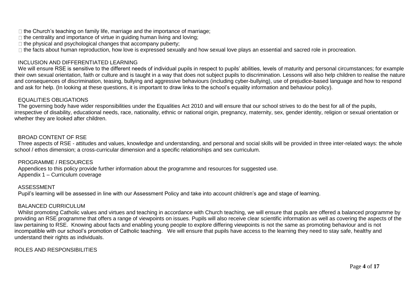$\Box$  the Church's teaching on family life, marriage and the importance of marriage;

 $\Box$  the centrality and importance of virtue in guiding human living and loving;

 $\Box$  the physical and psychological changes that accompany puberty;

 $\Box$  the facts about human reproduction, how love is expressed sexually and how sexual love plays an essential and sacred role in procreation.

#### INCLUSION AND DIFFERENTIATED LEARNING

We will ensure RSE is sensitive to the different needs of individual pupils in respect to pupils' abilities, levels of maturity and personal circumstances; for example their own sexual orientation, faith or culture and is taught in a way that does not subject pupils to discrimination. Lessons will also help children to realise the nature and consequences of discrimination, teasing, bullying and aggressive behaviours (including cyber-bullying), use of prejudice-based language and how to respond and ask for help. (In looking at these questions, it is important to draw links to the school's equality information and behaviour policy).

#### EQUALITIES OBLIGATIONS

The governing body have wider responsibilities under the Equalities Act 2010 and will ensure that our school strives to do the best for all of the pupils, irrespective of disability, educational needs, race, nationality, ethnic or national origin, pregnancy, maternity, sex, gender identity, religion or sexual orientation or whether they are looked after children.

#### BROAD CONTENT OF RSE

Three aspects of RSE - attitudes and values, knowledge and understanding, and personal and social skills will be provided in three inter-related ways: the whole school / ethos dimension; a cross-curricular dimension and a specific relationships and sex curriculum.

#### PROGRAMME / RESOURCES

Appendices to this policy provide further information about the programme and resources for suggested use. Appendix 1 – Curriculum coverage

#### ASSESSMENT

Pupil's learning will be assessed in line with our Assessment Policy and take into account children's age and stage of learning.

#### BALANCED CURRICULUM

Whilst promoting Catholic values and virtues and teaching in accordance with Church teaching, we will ensure that pupils are offered a balanced programme by providing an RSE programme that offers a range of viewpoints on issues. Pupils will also receive clear scientific information as well as covering the aspects of the law pertaining to RSE. Knowing about facts and enabling young people to explore differing viewpoints is not the same as promoting behaviour and is not incompatible with our school's promotion of Catholic teaching. We will ensure that pupils have access to the learning they need to stay safe, healthy and understand their rights as individuals.

ROLES AND RESPONSIBILITIES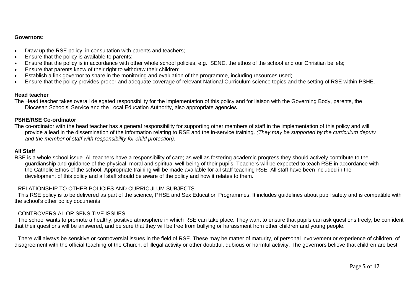#### **Governors:**

- Draw up the RSE policy, in consultation with parents and teachers;
- Ensure that the policy is available to parents;
- Ensure that the policy is in accordance with other whole school policies, e.g., SEND, the ethos of the school and our Christian beliefs;
- Ensure that parents know of their right to withdraw their children;
- Establish a link governor to share in the monitoring and evaluation of the programme, including resources used;
- Ensure that the policy provides proper and adequate coverage of relevant National Curriculum science topics and the setting of RSE within PSHE.

#### **Head teacher**

The Head teacher takes overall delegated responsibility for the implementation of this policy and for liaison with the Governing Body, parents, the Diocesan Schools' Service and the Local Education Authority, also appropriate agencies.

#### **PSHE/RSE Co-ordinator**

The co-ordinator with the head teacher has a general responsibility for supporting other members of staff in the implementation of this policy and will provide a lead in the dissemination of the information relating to RSE and the in-service training. *(They may be supported by the curriculum deputy and the member of staff with responsibility for child protection).*

#### **All Staff**

RSE is a whole school issue. All teachers have a responsibility of care; as well as fostering academic progress they should actively contribute to the guardianship and guidance of the physical, moral and spiritual well-being of their pupils. Teachers will be expected to teach RSE in accordance with the Catholic Ethos of the school. Appropriate training will be made available for all staff teaching RSE. All staff have been included in the development of this policy and all staff should be aware of the policy and how it relates to them.

#### RELATIONSHIP TO OTHER POLICIES AND CURRICULUM SUBJECTS

This RSE policy is to be delivered as part of the science, PHSE and Sex Education Programmes. It includes guidelines about pupil safety and is compatible with the school's other policy documents.

#### CONTROVERSIAL OR SENSITIVE ISSUES

The school wants to promote a healthy, positive atmosphere in which RSE can take place. They want to ensure that pupils can ask questions freely, be confident that their questions will be answered, and be sure that they will be free from bullying or harassment from other children and young people.

There will always be sensitive or controversial issues in the field of RSE. These may be matter of maturity, of personal involvement or experience of children, of disagreement with the official teaching of the Church, of illegal activity or other doubtful, dubious or harmful activity. The governors believe that children are best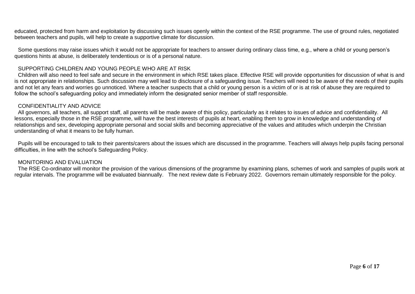Some questions may raise issues which it would not be appropriate for teachers to answer during ordinary class time, e.g., where a child or young person's questions hints at abuse, is deliberately tendentious or is of a personal nature.

#### SUPPORTING CHILDREN AND YOUNG PEOPLE WHO ARE AT RISK

Children will also need to feel safe and secure in the environment in which RSE takes place. Effective RSE will provide opportunities for discussion of what is and is not appropriate in relationships. Such discussion may well lead to disclosure of a safeguarding issue. Teachers will need to be aware of the needs of their pupils and not let any fears and worries go unnoticed. Where a teacher suspects that a child or young person is a victim of or is at risk of abuse they are required to follow the school's safeguarding policy and immediately inform the designated senior member of staff responsible.

#### CONFIDENTIALITY AND ADVICE

All governors, all teachers, all support staff, all parents will be made aware of this policy, particularly as it relates to issues of advice and confidentiality. All lessons, especially those in the RSE programme, will have the best interests of pupils at heart, enabling them to grow in knowledge and understanding of relationships and sex, developing appropriate personal and social skills and becoming appreciative of the values and attitudes which underpin the Christian understanding of what it means to be fully human.

Pupils will be encouraged to talk to their parents/carers about the issues which are discussed in the programme. Teachers will always help pupils facing personal difficulties, in line with the school's Safeguarding Policy.

#### MONITORING AND EVALUATION

The RSE Co-ordinator will monitor the provision of the various dimensions of the programme by examining plans, schemes of work and samples of pupils work at regular intervals. The programme will be evaluated biannually. The next review date is February 2022. Governors remain ultimately responsible for the policy.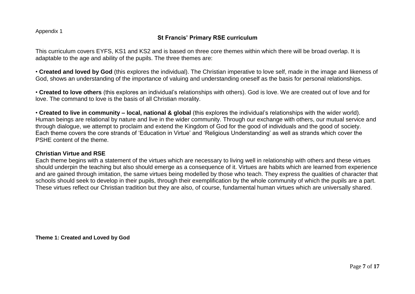Appendix 1

### **St Francis' Primary RSE curriculum**

This curriculum covers EYFS, KS1 and KS2 and is based on three core themes within which there will be broad overlap. It is adaptable to the age and ability of the pupils. The three themes are:

• **Created and loved by God** (this explores the individual). The Christian imperative to love self, made in the image and likeness of God, shows an understanding of the importance of valuing and understanding oneself as the basis for personal relationships.

• **Created to love others** (this explores an individual's relationships with others). God is love. We are created out of love and for love. The command to love is the basis of all Christian morality.

• **Created to live in community – local, national & global** (this explores the individual's relationships with the wider world). Human beings are relational by nature and live in the wider community. Through our exchange with others, our mutual service and through dialogue, we attempt to proclaim and extend the Kingdom of God for the good of individuals and the good of society. Each theme covers the core strands of 'Education in Virtue' and 'Religious Understanding' as well as strands which cover the PSHE content of the theme.

#### **Christian Virtue and RSE**

Each theme begins with a statement of the virtues which are necessary to living well in relationship with others and these virtues should underpin the teaching but also should emerge as a consequence of it. Virtues are habits which are learned from experience and are gained through imitation, the same virtues being modelled by those who teach. They express the qualities of character that schools should seek to develop in their pupils, through their exemplification by the whole community of which the pupils are a part. These virtues reflect our Christian tradition but they are also, of course, fundamental human virtues which are universally shared.

**Theme 1: Created and Loved by God**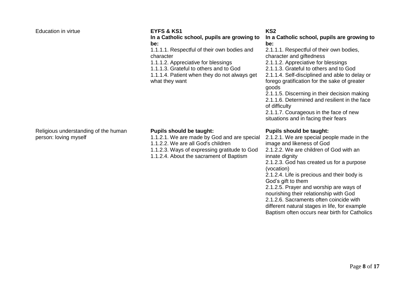#### Education in virtue **EYFS & KS1**

#### Religious understanding of the human person: loving myself

**In a Catholic school, pupils are growing to be:** 

1.1.1.1. Respectful of their own bodies and character

1.1.1.2. Appreciative for blessings

1.1.1.3. Grateful to others and to God

1.1.1.4. Patient when they do not always get what they want

#### **KS2**

**In a Catholic school, pupils are growing to be:** 

2.1.1.1. Respectful of their own bodies, character and giftedness 2.1.1.2. Appreciative for blessings 2.1.1.3. Grateful to others and to God 2.1.1.4. Self-disciplined and able to delay or forego gratification for the sake of greater goods 2.1.1.5. Discerning in their decision making

2.1.1.6. Determined and resilient in the face of difficulty

2.1.1.7. Courageous in the face of new situations and in facing their fears

#### **Pupils should be taught:**

2.1.2.1. We are special people made in the image and likeness of God 2.1.2.2. We are children of God with an innate dignity

2.1.2.3. God has created us for a purpose (vocation)

2.1.2.4. Life is precious and their body is God's gift to them

2.1.2.5. Prayer and worship are ways of nourishing their relationship with God

2.1.2.6. Sacraments often coincide with

different natural stages in life, for example

Baptism often occurs near birth for Catholics

### **Pupils should be taught:**

1.1.2.1. We are made by God and are special 1.1.2.2. We are all God's children 1.1.2.3. Ways of expressing gratitude to God

1.1.2.4. About the sacrament of Baptism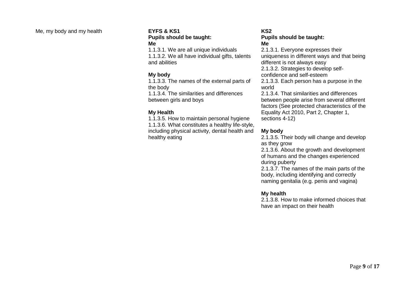#### Me, my body and my health **EYFS & KS1**

### **Pupils should be taught: Me**

1.1.3.1. We are all unique individuals 1.1.3.2. We all have individual gifts, talents and abilities

#### **My body**

1.1.3.3. The names of the external parts of the body 1.1.3.4. The similarities and differences between girls and boys

#### **My Health**

1.1.3.5. How to maintain personal hygiene 1.1.3.6. What constitutes a healthy life-style, including physical activity, dental health and healthy eating

#### **KS2 Pupils should be taught: Me**

2.1.3.1. Everyone expresses their uniqueness in different ways and that being different is not always easy 2.1.3.2. Strategies to develop selfconfidence and self-esteem 2.1.3.3. Each person has a purpose in the world 2.1.3.4. That similarities and differences between people arise from several different factors (See protected characteristics of the

Equality Act 2010, Part 2, Chapter 1, sections 4-12)

#### **My body**

2.1.3.5. Their body will change and develop as they grow

2.1.3.6. About the growth and development of humans and the changes experienced during puberty

2.1.3.7. The names of the main parts of the body, including identifying and correctly naming genitalia (e.g. penis and vagina)

#### **My health**

2.1.3.8. How to make informed choices that have an impact on their health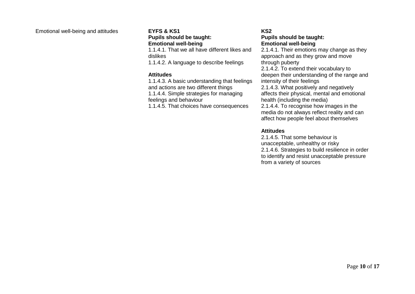#### Emotional well-being and attitudes **EYFS & KS1**

### **Pupils should be taught:**

**Emotional well-being**  1.1.4.1. That we all have different likes and

dislikes 1.1.4.2. A language to describe feelings

#### **Attitudes**

1.1.4.3. A basic understanding that feelings and actions are two different things 1.1.4.4. Simple strategies for managing feelings and behaviour 1.1.4.5. That choices have consequences

#### **KS2 Pupils should be taught: Emotional well-being**

2.1.4.1. Their emotions may change as they approach and as they grow and move through puberty 2.1.4.2. To extend their vocabulary to

deepen their understanding of the range and intensity of their feelings

2.1.4.3. What positively and negatively affects their physical, mental and emotional health (including the media)

2.1.4.4. To recognise how images in the media do not always reflect reality and can affect how people feel about themselves

#### **Attitudes**

2.1.4.5. That some behaviour is unacceptable, unhealthy or risky 2.1.4.6. Strategies to build resilience in order to identify and resist unacceptable pressure from a variety of sources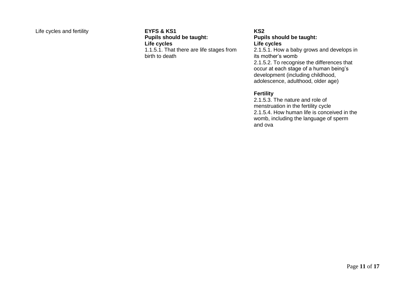#### Life cycles and fertility **EYFS & KS1**

**Pupils should be taught: Life cycles**  1.1.5.1. That there are life stages from birth to death

#### **KS2 Pupils should be taught: Life cycles**

2.1.5.1. How a baby grows and develops in its mother's womb 2.1.5.2. To recognise the differences that occur at each stage of a human being's development (including childhood, adolescence, adulthood, older age)

#### **Fertility**

2.1.5.3. The nature and role of menstruation in the fertility cycle 2.1.5.4. How human life is conceived in the womb, including the language of sperm and ova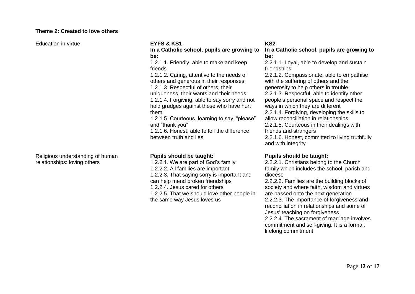#### **Theme 2: Created to love others**

Education in virtue **EYFS & KS1**

#### Religious understanding of human relationships: loving others

**In a Catholic school, pupils are growing to be:** 

1.2.1.1. Friendly, able to make and keep friends

1.2.1.2. Caring, attentive to the needs of others and generous in their responses 1.2.1.3. Respectful of others, their uniqueness, their wants and their needs 1.2.1.4. Forgiving, able to say sorry and not

hold grudges against those who have hurt them

1.2.1.5. Courteous, learning to say, "please" and "thank you"

1.2.1.6. Honest, able to tell the difference between truth and lies

#### **Pupils should be taught:**

1.2.2.1. We are part of God's family 1.2.2.2. All families are important 1.2.2.3. That saying sorry is important and can help mend broken friendships 1.2.2.4. Jesus cared for others 1.2.2.5. That we should love other people in the same way Jesus loves us

#### **KS2**

#### **In a Catholic school, pupils are growing to be:**

2.2.1.1. Loyal, able to develop and sustain friendships

2.2.1.2. Compassionate, able to empathise with the suffering of others and the generosity to help others in trouble 2.2.1.3. Respectful, able to identify other people's personal space and respect the ways in which they are different 2.2.1.4. Forgiving, developing the skills to allow reconciliation in relationships 2.2.1.5. Courteous in their dealings with friends and strangers 2.2.1.6. Honest, committed to living truthfully and with integrity

#### **Pupils should be taught:**

2.2.2.1. Christians belong to the Church family which includes the school, parish and diocese

2.2.2.2. Families are the building blocks of society and where faith, wisdom and virtues are passed onto the next generation 2.2.2.3. The importance of forgiveness and reconciliation in relationships and some of Jesus' teaching on forgiveness 2.2.2.4. The sacrament of marriage involves commitment and self-giving. It is a formal, lifelong commitment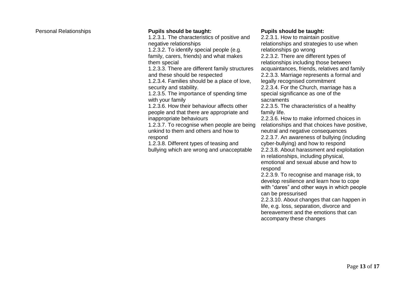#### Personal Relationships **Pupils should be taught:**

1.2.3.1. The characteristics of positive and negative relationships

1.2.3.2. To identify special people (e.g. family, carers, friends) and what makes them special

1.2.3.3. There are different family structures and these should be respected

1.2.3.4. Families should be a place of love, security and stability.

1.2.3.5. The importance of spending time with your family

1.2.3.6. How their behaviour affects other people and that there are appropriate and inappropriate behaviours

1.2.3.7. To recognise when people are being unkind to them and others and how to respond

1.2.3.8. Different types of teasing and bullying which are wrong and unacceptable

#### **Pupils should be taught:**

2.2.3.1. How to maintain positive relationships and strategies to use when relationships go wrong 2.2.3.2. There are different types of relationships including those between acquaintances, friends, relatives and family 2.2.3.3. Marriage represents a formal and legally recognised commitment 2.2.3.4. For the Church, marriage has a special significance as one of the

sacraments

2.2.3.5. The characteristics of a healthy family life.

2.2.3.6. How to make informed choices in relationships and that choices have positive, neutral and negative consequences

2.2.3.7. An awareness of bullying (including cyber-bullying) and how to respond

2.2.3.8. About harassment and exploitation in relationships, including physical, emotional and sexual abuse and how to

respond

2.2.3.9. To recognise and manage risk, to develop resilience and learn how to cope with "dares" and other ways in which people can be pressurised

2.2.3.10. About changes that can happen in life, e.g. loss, separation, divorce and bereavement and the emotions that can accompany these changes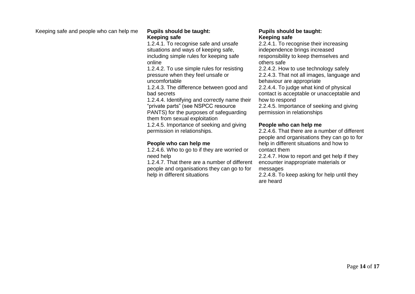Keeping safe and people who can help me **Pupils should be taught:** 

## **Keeping safe**

1.2.4.1. To recognise safe and unsafe situations and ways of keeping safe, including simple rules for keeping safe online

1.2.4.2. To use simple rules for resisting pressure when they feel unsafe or uncomfortable

1.2.4.3. The difference between good and bad secrets

1.2.4.4. Identifying and correctly name their "private parts" (see NSPCC resource PANTS) for the purposes of safeguarding them from sexual exploitation

1.2.4.5. Importance of seeking and giving permission in relationships.

#### **People who can help me**

1.2.4.6. Who to go to if they are worried or need help

1.2.4.7. That there are a number of different people and organisations they can go to for help in different situations

#### **Pupils should be taught: Keeping safe**

2.2.4.1. To recognise their increasing independence brings increased responsibility to keep themselves and others safe 2.2.4.2. How to use technology safely

2.2.4.3. That not all images, language and behaviour are appropriate

2.2.4.4. To judge what kind of physical contact is acceptable or unacceptable and how to respond

2.2.4.5. Importance of seeking and giving permission in relationships

#### **People who can help me**

2.2.4.6. That there are a number of different people and organisations they can go to for help in different situations and how to contact them

2.2.4.7. How to report and get help if they encounter inappropriate materials or messages

2.2.4.8. To keep asking for help until they are heard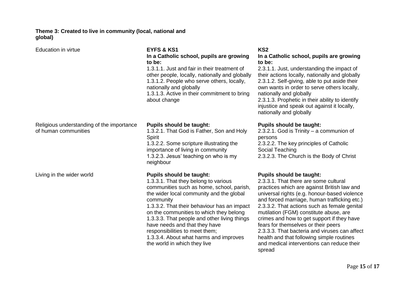#### **Theme 3: Created to live in community (local, national and global)**

| Education in virtue                                               | <b>EYFS &amp; KS1</b><br>In a Catholic school, pupils are growing<br>to be:<br>1.3.1.1. Just and fair in their treatment of<br>other people, locally, nationally and globally<br>1.3.1.2. People who serve others, locally,<br>nationally and globally<br>1.3.1.3. Active in their commitment to bring<br>about change                                                                                                                                               | KS <sub>2</sub><br>In a Catholic school, pupils are growing<br>to be:<br>2.3.1.1. Just, understanding the impact of<br>their actions locally, nationally and globally<br>2.3.1.2. Self-giving, able to put aside their<br>own wants in order to serve others locally,<br>nationally and globally<br>2.3.1.3. Prophetic in their ability to identify<br>injustice and speak out against it locally,<br>nationally and globally                                                                                                                                |
|-------------------------------------------------------------------|----------------------------------------------------------------------------------------------------------------------------------------------------------------------------------------------------------------------------------------------------------------------------------------------------------------------------------------------------------------------------------------------------------------------------------------------------------------------|--------------------------------------------------------------------------------------------------------------------------------------------------------------------------------------------------------------------------------------------------------------------------------------------------------------------------------------------------------------------------------------------------------------------------------------------------------------------------------------------------------------------------------------------------------------|
| Religious understanding of the importance<br>of human communities | <b>Pupils should be taught:</b><br>1.3.2.1. That God is Father, Son and Holy<br>Spirit<br>1.3.2.2. Some scripture illustrating the<br>importance of living in community<br>1.3.2.3. Jesus' teaching on who is my<br>neighbour                                                                                                                                                                                                                                        | <b>Pupils should be taught:</b><br>2.3.2.1. God is Trinity $-$ a communion of<br>persons<br>2.3.2.2. The key principles of Catholic<br>Social Teaching<br>2.3.2.3. The Church is the Body of Christ                                                                                                                                                                                                                                                                                                                                                          |
| Living in the wider world                                         | <b>Pupils should be taught:</b><br>1.3.3.1. That they belong to various<br>communities such as home, school, parish,<br>the wider local community and the global<br>community<br>1.3.3.2. That their behaviour has an impact<br>on the communities to which they belong<br>1.3.3.3. That people and other living things<br>have needs and that they have<br>responsibilities to meet them;<br>1.3.3.4. About what harms and improves<br>the world in which they live | <b>Pupils should be taught:</b><br>2.3.3.1. That there are some cultural<br>practices which are against British law and<br>universal rights (e.g. honour-based violence<br>and forced marriage, human trafficking etc.)<br>2.3.3.2. That actions such as female genital<br>mutilation (FGM) constitute abuse, are<br>crimes and how to get support if they have<br>fears for themselves or their peers<br>2.3.3.3. That bacteria and viruses can affect<br>health and that following simple routines<br>and medical interventions can reduce their<br>spread |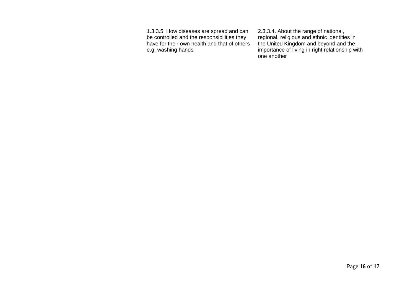1.3.3.5. How diseases are spread and can be controlled and the responsibilities they have for their own health and that of others e.g. washing hands

2.3.3.4. About the range of national, regional, religious and ethnic identities in the United Kingdom and beyond and the importance of living in right relationship with one another